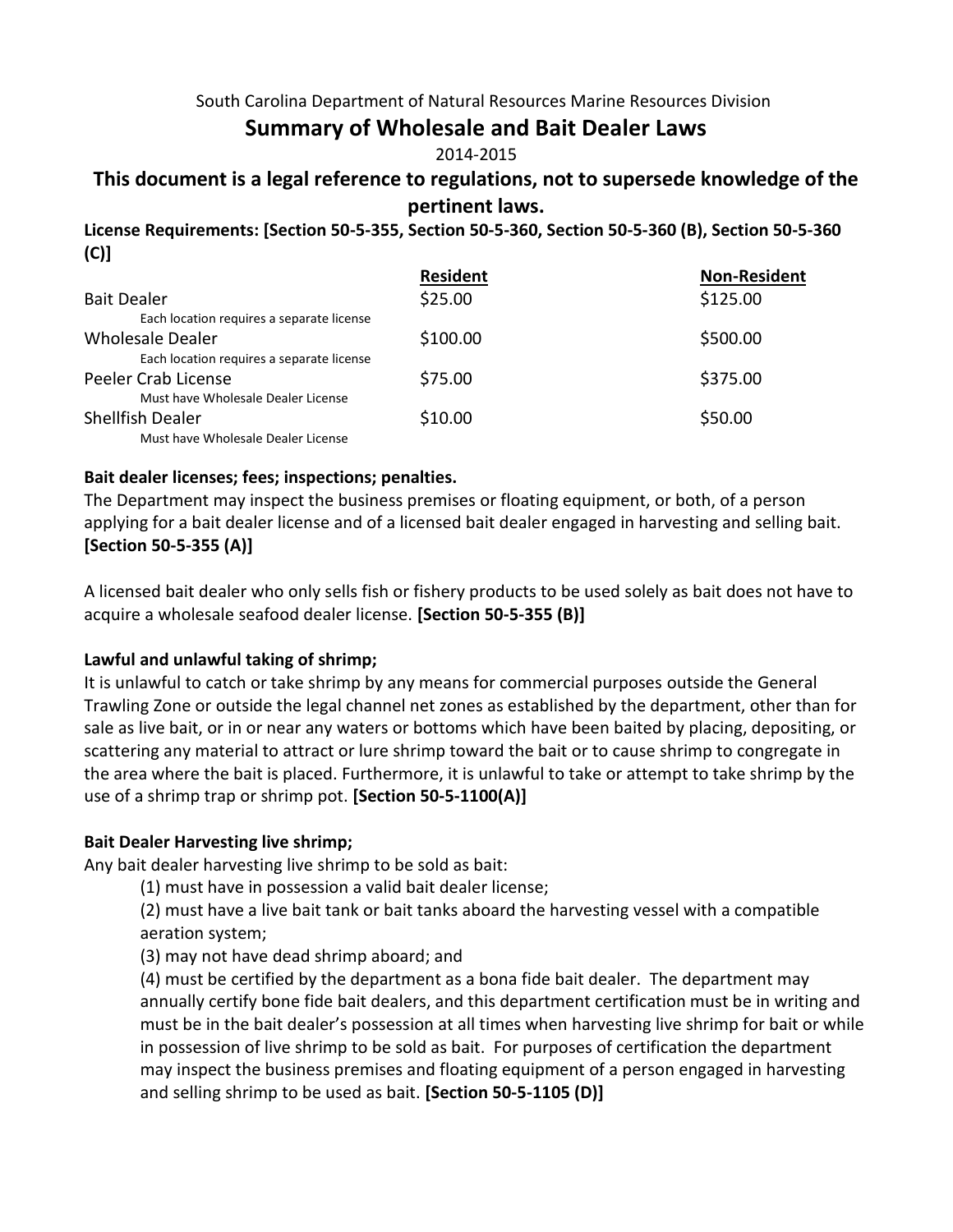### South Carolina Department of Natural Resources Marine Resources Division

## **Summary of Wholesale and Bait Dealer Laws**

### 2014-2015

## **This document is a legal reference to regulations, not to supersede knowledge of the pertinent laws.**

**License Requirements: [Section 50-5-355, Section 50-5-360, Section 50-5-360 (B), Section 50-5-360 (C)]**

|                                           | <b>Resident</b> | <b>Non-Resident</b> |
|-------------------------------------------|-----------------|---------------------|
| <b>Bait Dealer</b>                        | \$25.00         | \$125.00            |
| Each location requires a separate license |                 |                     |
| Wholesale Dealer                          | \$100.00        | \$500.00            |
| Each location requires a separate license |                 |                     |
| Peeler Crab License                       | \$75.00         | \$375.00            |
| Must have Wholesale Dealer License        |                 |                     |
| <b>Shellfish Dealer</b>                   | \$10.00         | \$50.00             |
| Must have Wholesale Dealer License        |                 |                     |

### **Bait dealer licenses; fees; inspections; penalties.**

The Department may inspect the business premises or floating equipment, or both, of a person applying for a bait dealer license and of a licensed bait dealer engaged in harvesting and selling bait. **[Section 50-5-355 (A)]**

A licensed bait dealer who only sells fish or fishery products to be used solely as bait does not have to acquire a wholesale seafood dealer license. **[Section 50-5-355 (B)]**

### **Lawful and unlawful taking of shrimp;**

It is unlawful to catch or take shrimp by any means for commercial purposes outside the General Trawling Zone or outside the legal channel net zones as established by the department, other than for sale as live bait, or in or near any waters or bottoms which have been baited by placing, depositing, or scattering any material to attract or lure shrimp toward the bait or to cause shrimp to congregate in the area where the bait is placed. Furthermore, it is unlawful to take or attempt to take shrimp by the use of a shrimp trap or shrimp pot. **[Section 50-5-1100(A)]**

### **Bait Dealer Harvesting live shrimp;**

Any bait dealer harvesting live shrimp to be sold as bait:

(1) must have in possession a valid bait dealer license;

(2) must have a live bait tank or bait tanks aboard the harvesting vessel with a compatible aeration system;

(3) may not have dead shrimp aboard; and

(4) must be certified by the department as a bona fide bait dealer. The department may annually certify bone fide bait dealers, and this department certification must be in writing and must be in the bait dealer's possession at all times when harvesting live shrimp for bait or while in possession of live shrimp to be sold as bait. For purposes of certification the department may inspect the business premises and floating equipment of a person engaged in harvesting and selling shrimp to be used as bait. **[Section 50-5-1105 (D)]**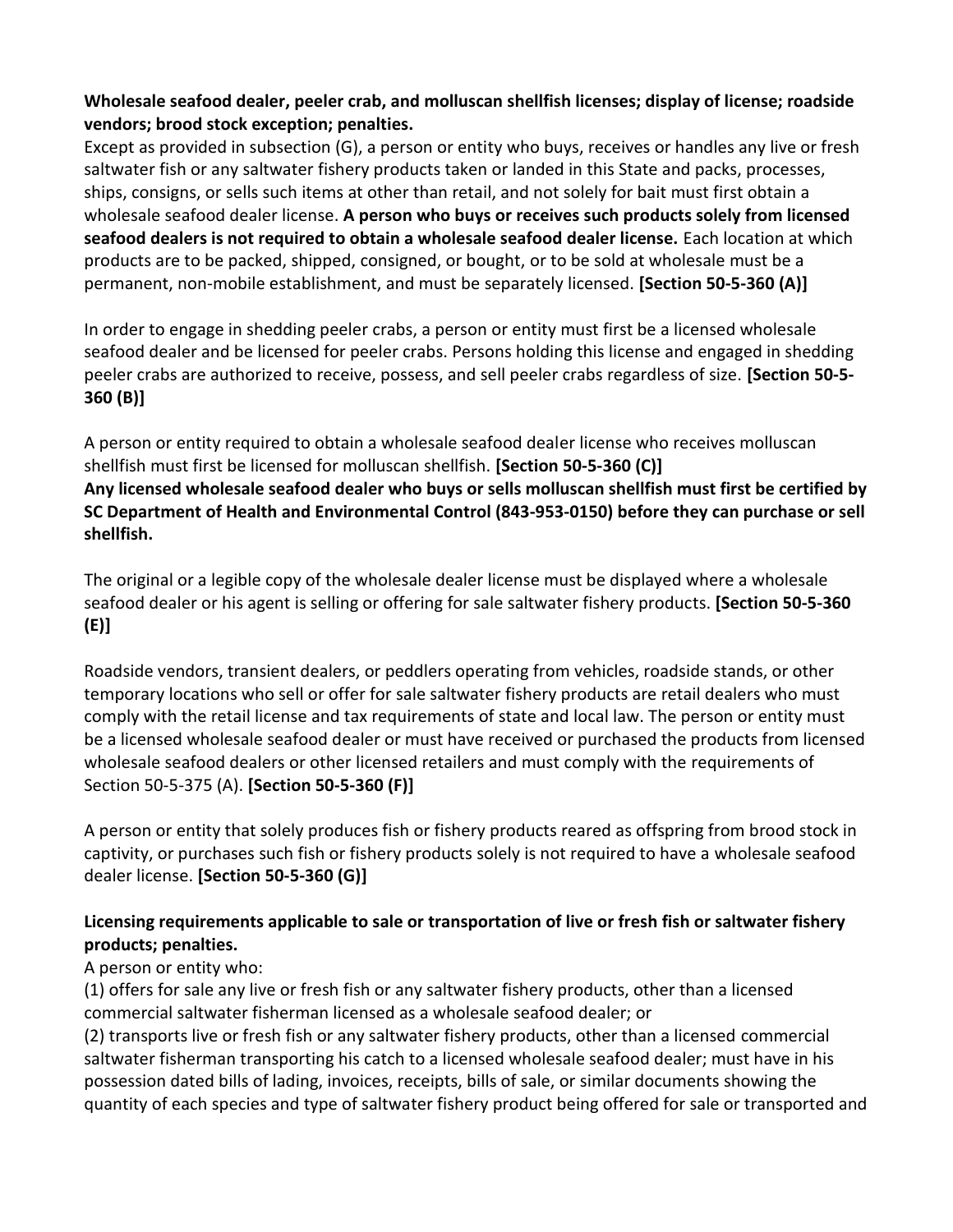### **Wholesale seafood dealer, peeler crab, and molluscan shellfish licenses; display of license; roadside vendors; brood stock exception; penalties.**

Except as provided in subsection (G), a person or entity who buys, receives or handles any live or fresh saltwater fish or any saltwater fishery products taken or landed in this State and packs, processes, ships, consigns, or sells such items at other than retail, and not solely for bait must first obtain a wholesale seafood dealer license. **A person who buys or receives such products solely from licensed seafood dealers is not required to obtain a wholesale seafood dealer license.** Each location at which products are to be packed, shipped, consigned, or bought, or to be sold at wholesale must be a permanent, non-mobile establishment, and must be separately licensed. **[Section 50-5-360 (A)]** 

In order to engage in shedding peeler crabs, a person or entity must first be a licensed wholesale seafood dealer and be licensed for peeler crabs. Persons holding this license and engaged in shedding peeler crabs are authorized to receive, possess, and sell peeler crabs regardless of size. **[Section 50-5- 360 (B)]** 

A person or entity required to obtain a wholesale seafood dealer license who receives molluscan shellfish must first be licensed for molluscan shellfish. **[Section 50-5-360 (C)] Any licensed wholesale seafood dealer who buys or sells molluscan shellfish must first be certified by SC Department of Health and Environmental Control (843-953-0150) before they can purchase or sell shellfish.**

The original or a legible copy of the wholesale dealer license must be displayed where a wholesale seafood dealer or his agent is selling or offering for sale saltwater fishery products. **[Section 50-5-360 (E)]** 

Roadside vendors, transient dealers, or peddlers operating from vehicles, roadside stands, or other temporary locations who sell or offer for sale saltwater fishery products are retail dealers who must comply with the retail license and tax requirements of state and local law. The person or entity must be a licensed wholesale seafood dealer or must have received or purchased the products from licensed wholesale seafood dealers or other licensed retailers and must comply with the requirements of Section 50-5-375 (A). **[Section 50-5-360 (F)]** 

A person or entity that solely produces fish or fishery products reared as offspring from brood stock in captivity, or purchases such fish or fishery products solely is not required to have a wholesale seafood dealer license. **[Section 50-5-360 (G)]**

## **Licensing requirements applicable to sale or transportation of live or fresh fish or saltwater fishery products; penalties.**

## A person or entity who:

(1) offers for sale any live or fresh fish or any saltwater fishery products, other than a licensed commercial saltwater fisherman licensed as a wholesale seafood dealer; or

(2) transports live or fresh fish or any saltwater fishery products, other than a licensed commercial saltwater fisherman transporting his catch to a licensed wholesale seafood dealer; must have in his possession dated bills of lading, invoices, receipts, bills of sale, or similar documents showing the quantity of each species and type of saltwater fishery product being offered for sale or transported and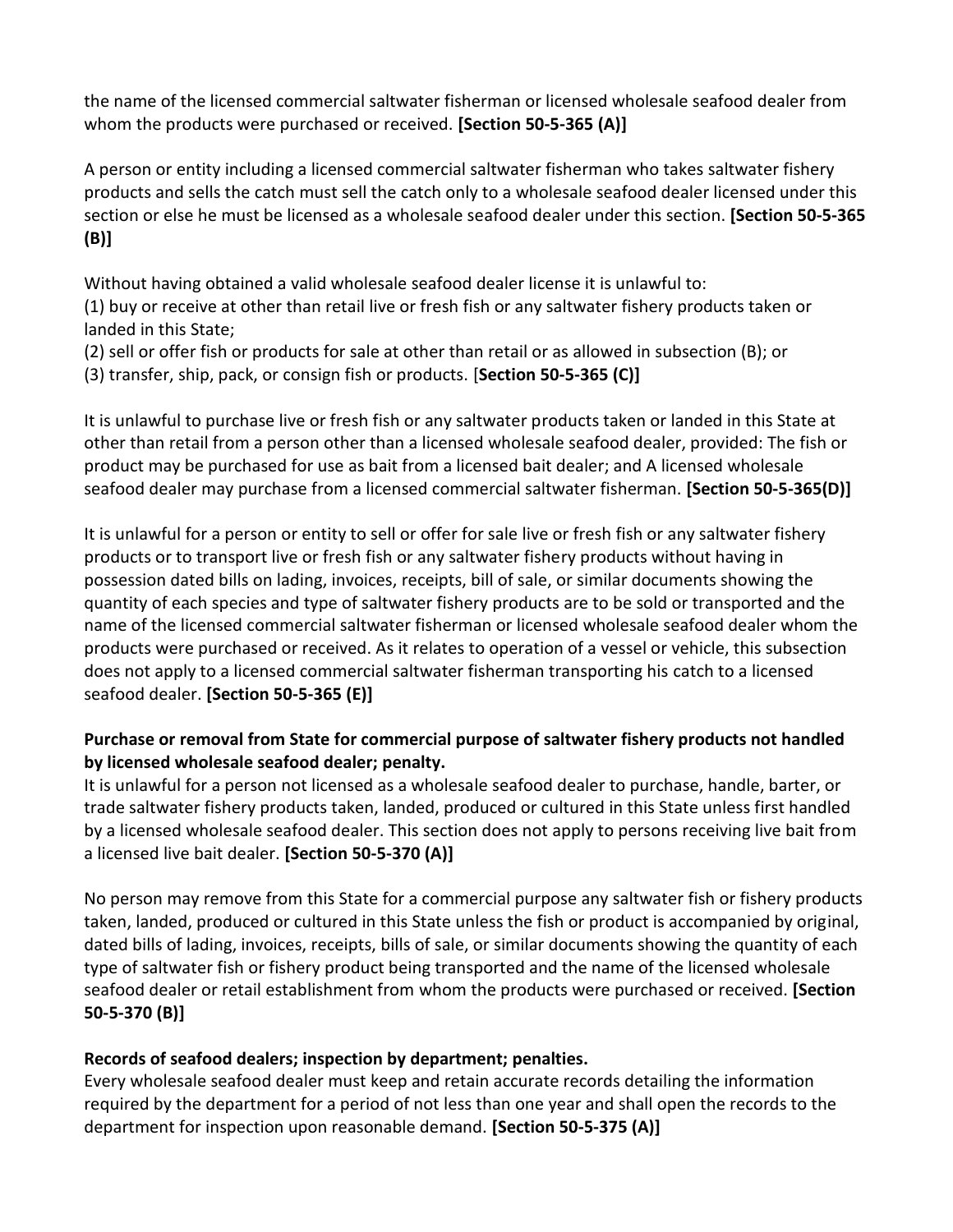the name of the licensed commercial saltwater fisherman or licensed wholesale seafood dealer from whom the products were purchased or received. **[Section 50-5-365 (A)]**

A person or entity including a licensed commercial saltwater fisherman who takes saltwater fishery products and sells the catch must sell the catch only to a wholesale seafood dealer licensed under this section or else he must be licensed as a wholesale seafood dealer under this section. **[Section 50-5-365 (B)]**

Without having obtained a valid wholesale seafood dealer license it is unlawful to:

(1) buy or receive at other than retail live or fresh fish or any saltwater fishery products taken or landed in this State;

(2) sell or offer fish or products for sale at other than retail or as allowed in subsection (B); or

(3) transfer, ship, pack, or consign fish or products. [**Section 50-5-365 (C)]**

It is unlawful to purchase live or fresh fish or any saltwater products taken or landed in this State at other than retail from a person other than a licensed wholesale seafood dealer, provided: The fish or product may be purchased for use as bait from a licensed bait dealer; and A licensed wholesale seafood dealer may purchase from a licensed commercial saltwater fisherman. **[Section 50-5-365(D)]** 

It is unlawful for a person or entity to sell or offer for sale live or fresh fish or any saltwater fishery products or to transport live or fresh fish or any saltwater fishery products without having in possession dated bills on lading, invoices, receipts, bill of sale, or similar documents showing the quantity of each species and type of saltwater fishery products are to be sold or transported and the name of the licensed commercial saltwater fisherman or licensed wholesale seafood dealer whom the products were purchased or received. As it relates to operation of a vessel or vehicle, this subsection does not apply to a licensed commercial saltwater fisherman transporting his catch to a licensed seafood dealer. **[Section 50-5-365 (E)]**

### **Purchase or removal from State for commercial purpose of saltwater fishery products not handled by licensed wholesale seafood dealer; penalty.**

It is unlawful for a person not licensed as a wholesale seafood dealer to purchase, handle, barter, or trade saltwater fishery products taken, landed, produced or cultured in this State unless first handled by a licensed wholesale seafood dealer. This section does not apply to persons receiving live bait from a licensed live bait dealer. **[Section 50-5-370 (A)]** 

No person may remove from this State for a commercial purpose any saltwater fish or fishery products taken, landed, produced or cultured in this State unless the fish or product is accompanied by original, dated bills of lading, invoices, receipts, bills of sale, or similar documents showing the quantity of each type of saltwater fish or fishery product being transported and the name of the licensed wholesale seafood dealer or retail establishment from whom the products were purchased or received. **[Section 50-5-370 (B)]**

## **Records of seafood dealers; inspection by department; penalties.**

Every wholesale seafood dealer must keep and retain accurate records detailing the information required by the department for a period of not less than one year and shall open the records to the department for inspection upon reasonable demand. **[Section 50-5-375 (A)]**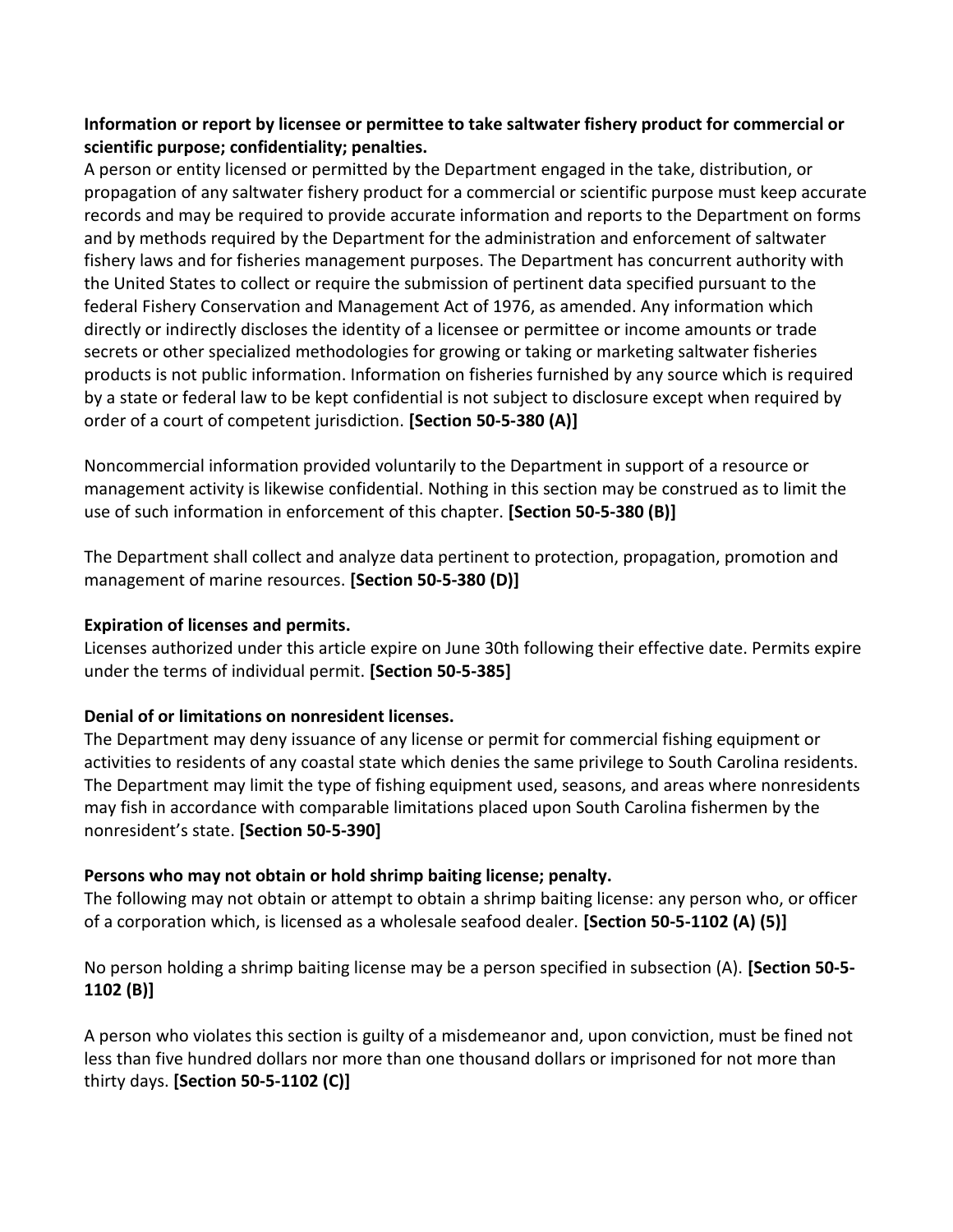### **Information or report by licensee or permittee to take saltwater fishery product for commercial or scientific purpose; confidentiality; penalties.**

A person or entity licensed or permitted by the Department engaged in the take, distribution, or propagation of any saltwater fishery product for a commercial or scientific purpose must keep accurate records and may be required to provide accurate information and reports to the Department on forms and by methods required by the Department for the administration and enforcement of saltwater fishery laws and for fisheries management purposes. The Department has concurrent authority with the United States to collect or require the submission of pertinent data specified pursuant to the federal Fishery Conservation and Management Act of 1976, as amended. Any information which directly or indirectly discloses the identity of a licensee or permittee or income amounts or trade secrets or other specialized methodologies for growing or taking or marketing saltwater fisheries products is not public information. Information on fisheries furnished by any source which is required by a state or federal law to be kept confidential is not subject to disclosure except when required by order of a court of competent jurisdiction. **[Section 50-5-380 (A)]** 

Noncommercial information provided voluntarily to the Department in support of a resource or management activity is likewise confidential. Nothing in this section may be construed as to limit the use of such information in enforcement of this chapter. **[Section 50-5-380 (B)]** 

The Department shall collect and analyze data pertinent to protection, propagation, promotion and management of marine resources. **[Section 50-5-380 (D)]**

### **Expiration of licenses and permits.**

Licenses authorized under this article expire on June 30th following their effective date. Permits expire under the terms of individual permit. **[Section 50-5-385]**

## **Denial of or limitations on nonresident licenses.**

The Department may deny issuance of any license or permit for commercial fishing equipment or activities to residents of any coastal state which denies the same privilege to South Carolina residents. The Department may limit the type of fishing equipment used, seasons, and areas where nonresidents may fish in accordance with comparable limitations placed upon South Carolina fishermen by the nonresident's state. **[Section 50-5-390]**

## **Persons who may not obtain or hold shrimp baiting license; penalty.**

The following may not obtain or attempt to obtain a shrimp baiting license: any person who, or officer of a corporation which, is licensed as a wholesale seafood dealer. **[Section 50-5-1102 (A) (5)]** 

No person holding a shrimp baiting license may be a person specified in subsection (A). **[Section 50-5- 1102 (B)]** 

A person who violates this section is guilty of a misdemeanor and, upon conviction, must be fined not less than five hundred dollars nor more than one thousand dollars or imprisoned for not more than thirty days. **[Section 50-5-1102 (C)]**